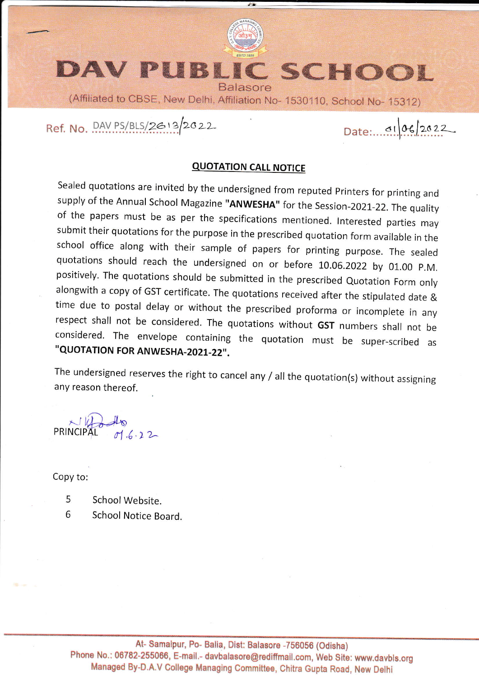

#### DAV PUBLI **C SCHOOL Balasore**

(Affiliated to CBSE, New Delhi, Affiliation No- 1530110, School No- 15312)

Ref. No. DAV PS/BLS/2613/2022

Date: 01 06/2022

## **QUOTATION CALL NOTICE**

Sealed quotations are invited by the undersigned from reputed Printers for printing and supply of the Annual School Magazine "ANWESHA" for the Session-2021-22. The quality of the papers must be as per the specifications mentioned. Interested parties may submit their quotations for the purpose in the prescribed quotation form available in the school office along with their sample of papers for printing purpose. The sealed quotations should reach the undersigned on or before 10.06.2022 by 01.00 P.M. positively. The quotations should be submitted in the prescribed Quotation Form only alongwith a copy of GST certificate. The quotations received after the stipulated date & time due to postal delay or without the prescribed proforma or incomplete in any respect shall not be considered. The quotations without GST numbers shall not be considered. The envelope containing the quotation must be super-scribed as "QUOTATION FOR ANWESHA-2021-22".

The undersigned reserves the right to cancel any / all the quotation(s) without assigning any reason thereof.

Copy to:

5 School Website

6 School Notice Board.